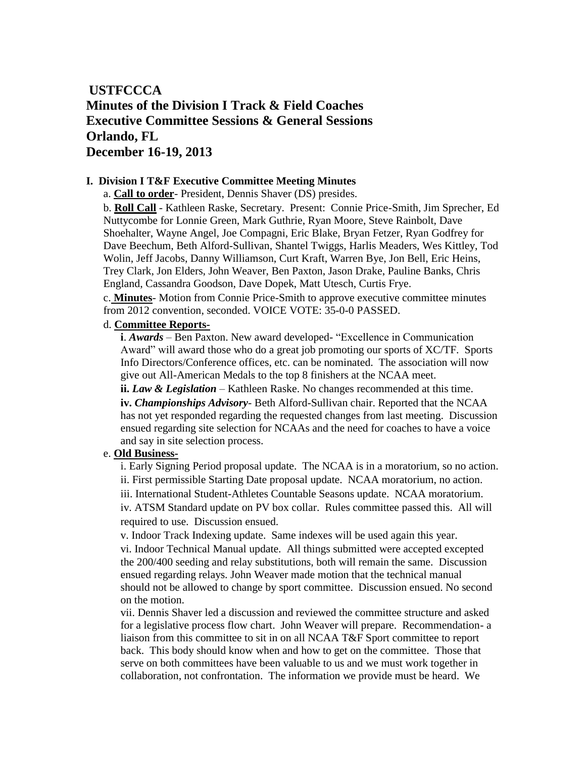# **USTFCCCA Minutes of the Division I Track & Field Coaches Executive Committee Sessions & General Sessions Orlando, FL December 16-19, 2013**

#### **I. Division I T&F Executive Committee Meeting Minutes**

a. **Call to order**- President, Dennis Shaver (DS) presides.

b. **Roll Call** - Kathleen Raske, Secretary. Present: Connie Price-Smith, Jim Sprecher, Ed Nuttycombe for Lonnie Green, Mark Guthrie, Ryan Moore, Steve Rainbolt, Dave Shoehalter, Wayne Angel, Joe Compagni, Eric Blake, Bryan Fetzer, Ryan Godfrey for Dave Beechum, Beth Alford-Sullivan, Shantel Twiggs, Harlis Meaders, Wes Kittley, Tod Wolin, Jeff Jacobs, Danny Williamson, Curt Kraft, Warren Bye, Jon Bell, Eric Heins, Trey Clark, Jon Elders, John Weaver, Ben Paxton, Jason Drake, Pauline Banks, Chris England, Cassandra Goodson, Dave Dopek, Matt Utesch, Curtis Frye.

c. **Minutes**- Motion from Connie Price-Smith to approve executive committee minutes from 2012 convention, seconded. VOICE VOTE: 35-0-0 PASSED.

#### d. **Committee Reports-**

**i**. *Awards* – Ben Paxton. New award developed- "Excellence in Communication Award" will award those who do a great job promoting our sports of XC/TF. Sports Info Directors/Conference offices, etc. can be nominated. The association will now give out All-American Medals to the top 8 finishers at the NCAA meet.

**ii.** *Law & Legislation* – Kathleen Raske. No changes recommended at this time. **iv.** *Championships Advisory*- Beth Alford-Sullivan chair. Reported that the NCAA has not yet responded regarding the requested changes from last meeting. Discussion ensued regarding site selection for NCAAs and the need for coaches to have a voice and say in site selection process.

# e. **Old Business-**

i. Early Signing Period proposal update. The NCAA is in a moratorium, so no action. ii. First permissible Starting Date proposal update. NCAA moratorium, no action. iii. International Student-Athletes Countable Seasons update. NCAA moratorium. iv. ATSM Standard update on PV box collar. Rules committee passed this. All will required to use. Discussion ensued.

v. Indoor Track Indexing update. Same indexes will be used again this year.

vi. Indoor Technical Manual update. All things submitted were accepted excepted the 200/400 seeding and relay substitutions, both will remain the same. Discussion ensued regarding relays. John Weaver made motion that the technical manual should not be allowed to change by sport committee. Discussion ensued. No second on the motion.

vii. Dennis Shaver led a discussion and reviewed the committee structure and asked for a legislative process flow chart. John Weaver will prepare. Recommendation- a liaison from this committee to sit in on all NCAA T&F Sport committee to report back. This body should know when and how to get on the committee. Those that serve on both committees have been valuable to us and we must work together in collaboration, not confrontation. The information we provide must be heard. We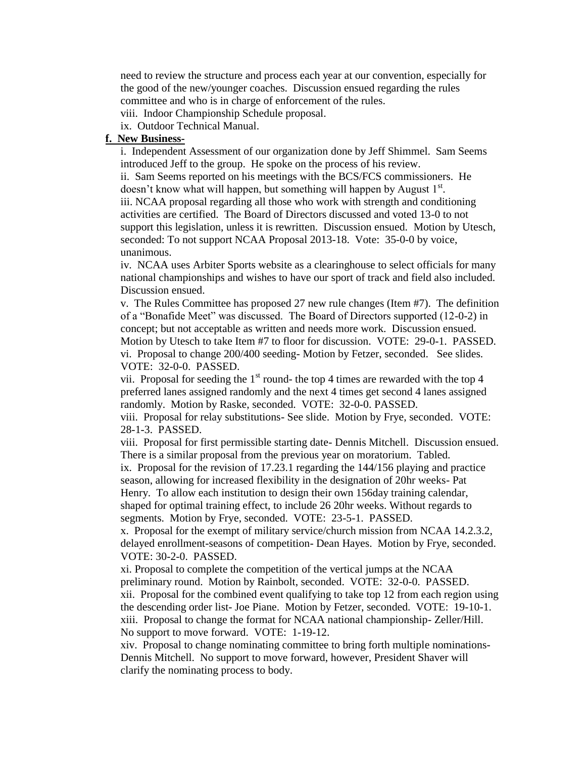need to review the structure and process each year at our convention, especially for the good of the new/younger coaches. Discussion ensued regarding the rules committee and who is in charge of enforcement of the rules.

viii. Indoor Championship Schedule proposal.

ix. Outdoor Technical Manual.

#### **f. New Business-**

i. Independent Assessment of our organization done by Jeff Shimmel. Sam Seems introduced Jeff to the group. He spoke on the process of his review.

ii. Sam Seems reported on his meetings with the BCS/FCS commissioners. He doesn't know what will happen, but something will happen by August 1st. iii. NCAA proposal regarding all those who work with strength and conditioning activities are certified. The Board of Directors discussed and voted 13-0 to not support this legislation, unless it is rewritten. Discussion ensued. Motion by Utesch, seconded: To not support NCAA Proposal 2013-18. Vote: 35-0-0 by voice, unanimous.

iv. NCAA uses Arbiter Sports website as a clearinghouse to select officials for many national championships and wishes to have our sport of track and field also included. Discussion ensued.

v. The Rules Committee has proposed 27 new rule changes (Item #7). The definition of a "Bonafide Meet" was discussed. The Board of Directors supported (12-0-2) in concept; but not acceptable as written and needs more work. Discussion ensued. Motion by Utesch to take Item #7 to floor for discussion. VOTE: 29-0-1. PASSED. vi. Proposal to change 200/400 seeding- Motion by Fetzer, seconded. See slides. VOTE: 32-0-0. PASSED.

vii. Proposal for seeding the  $1<sup>st</sup>$  round- the top 4 times are rewarded with the top 4 preferred lanes assigned randomly and the next 4 times get second 4 lanes assigned randomly. Motion by Raske, seconded. VOTE: 32-0-0. PASSED.

viii. Proposal for relay substitutions- See slide. Motion by Frye, seconded. VOTE: 28-1-3. PASSED.

viii. Proposal for first permissible starting date- Dennis Mitchell. Discussion ensued. There is a similar proposal from the previous year on moratorium. Tabled.

ix. Proposal for the revision of 17.23.1 regarding the 144/156 playing and practice season, allowing for increased flexibility in the designation of 20hr weeks- Pat Henry. To allow each institution to design their own 156day training calendar, shaped for optimal training effect, to include 26 20hr weeks. Without regards to segments. Motion by Frye, seconded. VOTE: 23-5-1. PASSED.

x. Proposal for the exempt of military service/church mission from NCAA 14.2.3.2, delayed enrollment-seasons of competition- Dean Hayes. Motion by Frye, seconded. VOTE: 30-2-0. PASSED.

xi. Proposal to complete the competition of the vertical jumps at the NCAA preliminary round. Motion by Rainbolt, seconded. VOTE: 32-0-0. PASSED. xii. Proposal for the combined event qualifying to take top 12 from each region using the descending order list- Joe Piane. Motion by Fetzer, seconded. VOTE: 19-10-1. xiii. Proposal to change the format for NCAA national championship- Zeller/Hill. No support to move forward. VOTE: 1-19-12.

xiv. Proposal to change nominating committee to bring forth multiple nominations-Dennis Mitchell. No support to move forward, however, President Shaver will clarify the nominating process to body.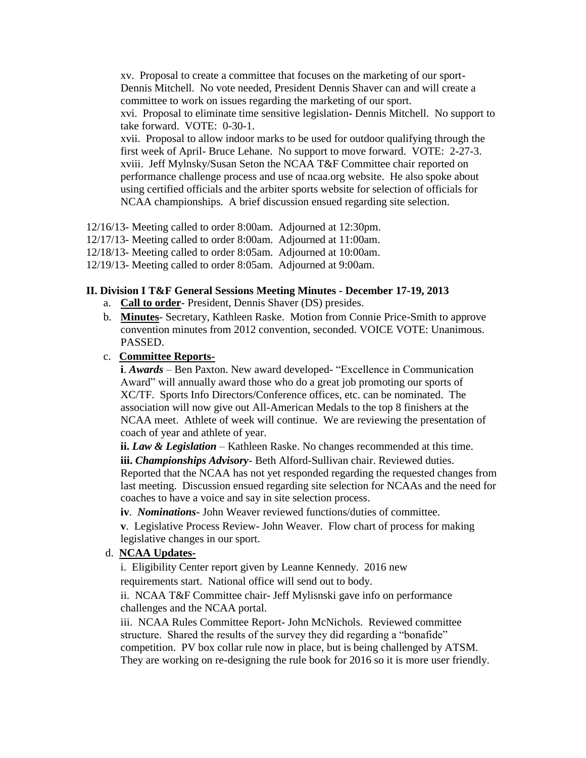xv. Proposal to create a committee that focuses on the marketing of our sport-Dennis Mitchell. No vote needed, President Dennis Shaver can and will create a committee to work on issues regarding the marketing of our sport. xvi. Proposal to eliminate time sensitive legislation- Dennis Mitchell. No support to take forward. VOTE: 0-30-1. xvii. Proposal to allow indoor marks to be used for outdoor qualifying through the first week of April- Bruce Lehane. No support to move forward. VOTE: 2-27-3. xviii. Jeff Mylnsky/Susan Seton the NCAA T&F Committee chair reported on performance challenge process and use of ncaa.org website. He also spoke about using certified officials and the arbiter sports website for selection of officials for NCAA championships. A brief discussion ensued regarding site selection.

12/16/13- Meeting called to order 8:00am. Adjourned at 12:30pm.

12/17/13- Meeting called to order 8:00am. Adjourned at 11:00am.

12/18/13- Meeting called to order 8:05am. Adjourned at 10:00am.

12/19/13- Meeting called to order 8:05am. Adjourned at 9:00am.

### **II. Division I T&F General Sessions Meeting Minutes - December 17-19, 2013**

- a. **Call to order** President, Dennis Shaver (DS) presides.
- b. **Minutes** Secretary, Kathleen Raske. Motion from Connie Price-Smith to approve convention minutes from 2012 convention, seconded. VOICE VOTE: Unanimous. PASSED.

#### c. **Committee Reports-**

**i**. *Awards* – Ben Paxton. New award developed- "Excellence in Communication Award" will annually award those who do a great job promoting our sports of XC/TF. Sports Info Directors/Conference offices, etc. can be nominated. The association will now give out All-American Medals to the top 8 finishers at the NCAA meet. Athlete of week will continue. We are reviewing the presentation of coach of year and athlete of year.

**ii.** *Law & Legislation* – Kathleen Raske. No changes recommended at this time. **iii.** *Championships Advisory*- Beth Alford-Sullivan chair. Reviewed duties. Reported that the NCAA has not yet responded regarding the requested changes from last meeting. Discussion ensued regarding site selection for NCAAs and the need for coaches to have a voice and say in site selection process.

**iv**. *Nominations*- John Weaver reviewed functions/duties of committee.

**v**. Legislative Process Review- John Weaver. Flow chart of process for making legislative changes in our sport.

## d. **NCAA Updates-**

i. Eligibility Center report given by Leanne Kennedy. 2016 new

requirements start. National office will send out to body.

ii. NCAA T&F Committee chair- Jeff Mylisnski gave info on performance challenges and the NCAA portal.

iii. NCAA Rules Committee Report- John McNichols. Reviewed committee structure. Shared the results of the survey they did regarding a "bonafide" competition. PV box collar rule now in place, but is being challenged by ATSM. They are working on re-designing the rule book for 2016 so it is more user friendly.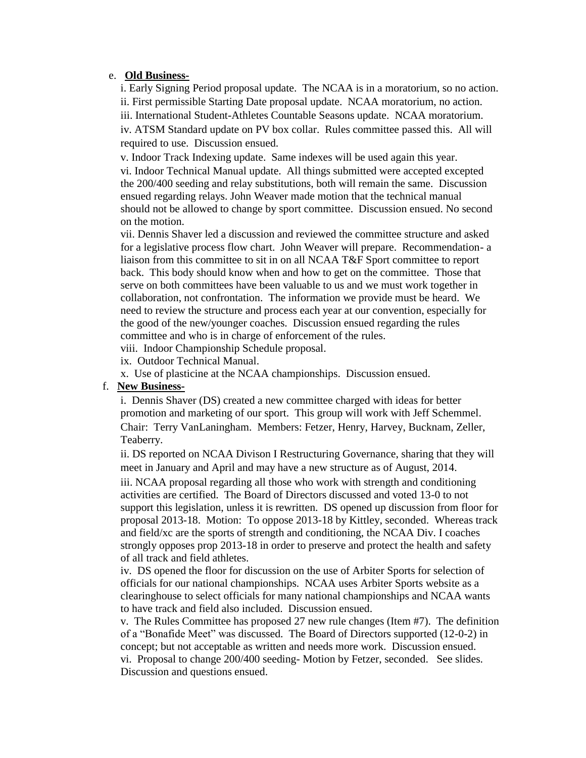#### e. **Old Business-**

i. Early Signing Period proposal update. The NCAA is in a moratorium, so no action. ii. First permissible Starting Date proposal update. NCAA moratorium, no action. iii. International Student-Athletes Countable Seasons update. NCAA moratorium. iv. ATSM Standard update on PV box collar. Rules committee passed this. All will required to use. Discussion ensued.

v. Indoor Track Indexing update. Same indexes will be used again this year. vi. Indoor Technical Manual update. All things submitted were accepted excepted the 200/400 seeding and relay substitutions, both will remain the same. Discussion ensued regarding relays. John Weaver made motion that the technical manual should not be allowed to change by sport committee. Discussion ensued. No second on the motion.

vii. Dennis Shaver led a discussion and reviewed the committee structure and asked for a legislative process flow chart. John Weaver will prepare. Recommendation- a liaison from this committee to sit in on all NCAA T&F Sport committee to report back. This body should know when and how to get on the committee. Those that serve on both committees have been valuable to us and we must work together in collaboration, not confrontation. The information we provide must be heard. We need to review the structure and process each year at our convention, especially for the good of the new/younger coaches. Discussion ensued regarding the rules committee and who is in charge of enforcement of the rules.

viii. Indoor Championship Schedule proposal.

ix. Outdoor Technical Manual.

x. Use of plasticine at the NCAA championships. Discussion ensued.

## f. **New Business-**

i. Dennis Shaver (DS) created a new committee charged with ideas for better promotion and marketing of our sport. This group will work with Jeff Schemmel. Chair: Terry VanLaningham. Members: Fetzer, Henry, Harvey, Bucknam, Zeller, Teaberry.

ii. DS reported on NCAA Divison I Restructuring Governance, sharing that they will meet in January and April and may have a new structure as of August, 2014.

iii. NCAA proposal regarding all those who work with strength and conditioning activities are certified. The Board of Directors discussed and voted 13-0 to not support this legislation, unless it is rewritten. DS opened up discussion from floor for proposal 2013-18. Motion: To oppose 2013-18 by Kittley, seconded. Whereas track and field/xc are the sports of strength and conditioning, the NCAA Div. I coaches strongly opposes prop 2013-18 in order to preserve and protect the health and safety of all track and field athletes.

iv. DS opened the floor for discussion on the use of Arbiter Sports for selection of officials for our national championships. NCAA uses Arbiter Sports website as a clearinghouse to select officials for many national championships and NCAA wants to have track and field also included. Discussion ensued.

v. The Rules Committee has proposed 27 new rule changes (Item #7). The definition of a "Bonafide Meet" was discussed. The Board of Directors supported (12-0-2) in concept; but not acceptable as written and needs more work. Discussion ensued. vi. Proposal to change 200/400 seeding- Motion by Fetzer, seconded. See slides. Discussion and questions ensued.